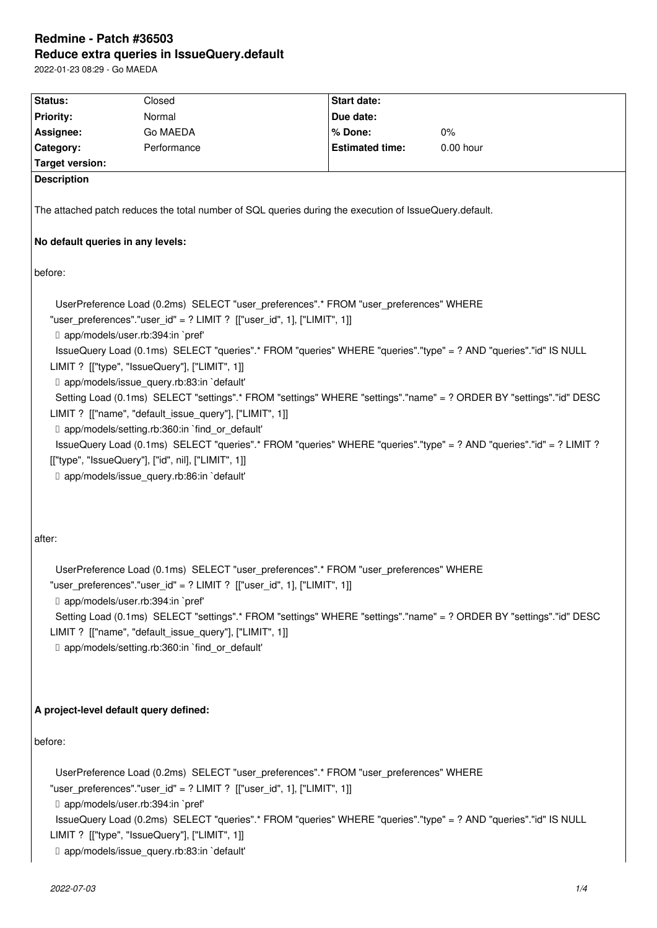# **Redmine - Patch #36503 Reduce extra queries in IssueQuery.default**

2022-01-23 08:29 - Go MAEDA

| Status:                                                                                                                                                                                                                                                                                                                                                                                                                                                                                                                                                                                                                                                                                                                                                                                                                                                                                      | Closed                                                                                                                                                                                                                                                                                                                                                                               | <b>Start date:</b>     |             |  |  |
|----------------------------------------------------------------------------------------------------------------------------------------------------------------------------------------------------------------------------------------------------------------------------------------------------------------------------------------------------------------------------------------------------------------------------------------------------------------------------------------------------------------------------------------------------------------------------------------------------------------------------------------------------------------------------------------------------------------------------------------------------------------------------------------------------------------------------------------------------------------------------------------------|--------------------------------------------------------------------------------------------------------------------------------------------------------------------------------------------------------------------------------------------------------------------------------------------------------------------------------------------------------------------------------------|------------------------|-------------|--|--|
| <b>Priority:</b>                                                                                                                                                                                                                                                                                                                                                                                                                                                                                                                                                                                                                                                                                                                                                                                                                                                                             | Normal                                                                                                                                                                                                                                                                                                                                                                               | Due date:              |             |  |  |
| Assignee:                                                                                                                                                                                                                                                                                                                                                                                                                                                                                                                                                                                                                                                                                                                                                                                                                                                                                    | Go MAEDA                                                                                                                                                                                                                                                                                                                                                                             | % Done:                | $0\%$       |  |  |
| Category:                                                                                                                                                                                                                                                                                                                                                                                                                                                                                                                                                                                                                                                                                                                                                                                                                                                                                    | Performance                                                                                                                                                                                                                                                                                                                                                                          | <b>Estimated time:</b> | $0.00$ hour |  |  |
| <b>Target version:</b>                                                                                                                                                                                                                                                                                                                                                                                                                                                                                                                                                                                                                                                                                                                                                                                                                                                                       |                                                                                                                                                                                                                                                                                                                                                                                      |                        |             |  |  |
| <b>Description</b>                                                                                                                                                                                                                                                                                                                                                                                                                                                                                                                                                                                                                                                                                                                                                                                                                                                                           |                                                                                                                                                                                                                                                                                                                                                                                      |                        |             |  |  |
| The attached patch reduces the total number of SQL queries during the execution of IssueQuery.default.                                                                                                                                                                                                                                                                                                                                                                                                                                                                                                                                                                                                                                                                                                                                                                                       |                                                                                                                                                                                                                                                                                                                                                                                      |                        |             |  |  |
| No default queries in any levels:                                                                                                                                                                                                                                                                                                                                                                                                                                                                                                                                                                                                                                                                                                                                                                                                                                                            |                                                                                                                                                                                                                                                                                                                                                                                      |                        |             |  |  |
| before:                                                                                                                                                                                                                                                                                                                                                                                                                                                                                                                                                                                                                                                                                                                                                                                                                                                                                      |                                                                                                                                                                                                                                                                                                                                                                                      |                        |             |  |  |
| UserPreference Load (0.2ms) SELECT "user_preferences".* FROM "user_preferences" WHERE<br>"user_preferences"."user_id" = ? LIMIT ? [["user_id", 1], ["LIMIT", 1]]<br>D app/models/user.rb:394:in `pref'<br>IssueQuery Load (0.1ms) SELECT "queries".* FROM "queries" WHERE "queries"."type" = ? AND "queries"."id" IS NULL<br>LIMIT ? [["type", "IssueQuery"], ["LIMIT", 1]]<br>□ app/models/issue_query.rb:83:in `default'<br>Setting Load (0.1ms) SELECT "settings".* FROM "settings" WHERE "settings"."name" = ? ORDER BY "settings"."id" DESC<br>LIMIT ? [["name", "default_issue_query"], ["LIMIT", 1]]<br>□ app/models/setting.rb:360:in `find_or_default'<br>IssueQuery Load (0.1ms) SELECT "queries".* FROM "queries" WHERE "queries"."type" = ? AND "queries"."id" = ? LIMIT ?<br>[["type", "IssueQuery"], ["id", nil], ["LIMIT", 1]]<br>D app/models/issue_query.rb:86:in `default' |                                                                                                                                                                                                                                                                                                                                                                                      |                        |             |  |  |
| after:                                                                                                                                                                                                                                                                                                                                                                                                                                                                                                                                                                                                                                                                                                                                                                                                                                                                                       |                                                                                                                                                                                                                                                                                                                                                                                      |                        |             |  |  |
| UserPreference Load (0.1ms) SELECT "user_preferences".* FROM "user_preferences" WHERE<br>"user preferences"."user id" = ? LIMIT ? [["user id", 1], ["LIMIT", 1]]<br>D app/models/user.rb:394:in `pref'<br>Setting Load (0.1ms) SELECT "settings".* FROM "settings" WHERE "settings"."name" = ? ORDER BY "settings"."id" DESC<br>LIMIT ? [["name", "default_issue_query"], ["LIMIT", 1]]<br>D app/models/setting.rb:360:in `find_or_default'                                                                                                                                                                                                                                                                                                                                                                                                                                                  |                                                                                                                                                                                                                                                                                                                                                                                      |                        |             |  |  |
| A project-level default query defined:                                                                                                                                                                                                                                                                                                                                                                                                                                                                                                                                                                                                                                                                                                                                                                                                                                                       |                                                                                                                                                                                                                                                                                                                                                                                      |                        |             |  |  |
| before:<br>D app/models/user.rb:394:in `pref'                                                                                                                                                                                                                                                                                                                                                                                                                                                                                                                                                                                                                                                                                                                                                                                                                                                | UserPreference Load (0.2ms) SELECT "user_preferences".* FROM "user_preferences" WHERE<br>"user_preferences"."user_id" = ? LIMIT ? [["user_id", 1], ["LIMIT", 1]]<br>IssueQuery Load (0.2ms) SELECT "queries".* FROM "queries" WHERE "queries"."type" = ? AND "queries"."id" IS NULL<br>LIMIT ? [["type", "IssueQuery"], ["LIMIT", 1]]<br>D app/models/issue_query.rb:83:in `default' |                        |             |  |  |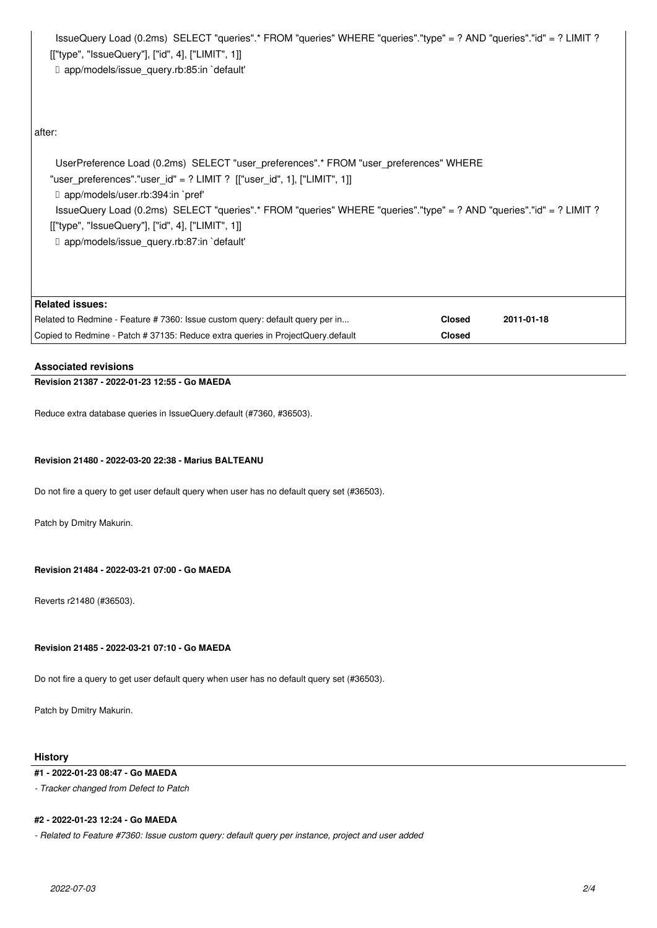IssueQuery Load (0.2ms) SELECT "queries".\* FROM "queries" WHERE "queries"."type" = ? AND "queries"."id" = ? LIMIT ? [["type", "IssueQuery"], ["id", 4], ["LIMIT", 1]] ↳ app/models/issue\_query.rb:85:in `default'

## after:

 UserPreference Load (0.2ms) SELECT "user\_preferences".\* FROM "user\_preferences" WHERE "user\_preferences"."user\_id" = ? LIMIT ? [["user\_id", 1], ["LIMIT", 1]] ↳ app/models/user.rb:394:in `pref' IssueQuery Load (0.2ms) SELECT "queries".\* FROM "queries" WHERE "queries"."type" = ? AND "queries"."id" = ? LIMIT ? [["type", "IssueQuery"], ["id", 4], ["LIMIT", 1]] ↳ app/models/issue\_query.rb:87:in `default'

| Related issues:                                                                 |               |            |
|---------------------------------------------------------------------------------|---------------|------------|
| Related to Redmine - Feature # 7360: Issue custom query: default query per in   | <b>Closed</b> | 2011-01-18 |
| Copied to Redmine - Patch # 37135: Reduce extra queries in ProjectQuery.default | <b>Closed</b> |            |

# **Associated revisions**

# **Revision 21387 - 2022-01-23 12:55 - Go MAEDA**

Reduce extra database queries in IssueQuery.default (#7360, #36503).

#### **Revision 21480 - 2022-03-20 22:38 - Marius BALTEANU**

Do not fire a query to get user default query when user has no default query set (#36503).

Patch by Dmitry Makurin.

#### **Revision 21484 - 2022-03-21 07:00 - Go MAEDA**

Reverts r21480 (#36503).

# **Revision 21485 - 2022-03-21 07:10 - Go MAEDA**

Do not fire a query to get user default query when user has no default query set (#36503).

Patch by Dmitry Makurin.

#### **History**

#### **#1 - 2022-01-23 08:47 - Go MAEDA**

*- Tracker changed from Defect to Patch*

#### **#2 - 2022-01-23 12:24 - Go MAEDA**

*- Related to Feature #7360: Issue custom query: default query per instance, project and user added*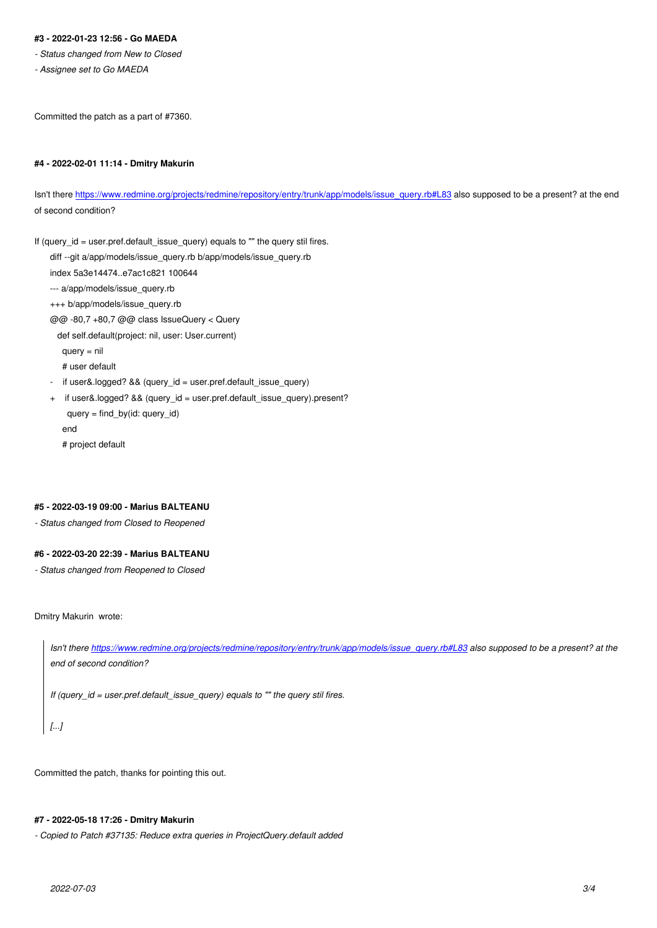- *Status changed from New to Closed*
- *Assignee set to Go MAEDA*

Committed the patch as a part of #7360.

## **#4 - 2022-02-01 11:14 - Dmitry Makurin**

Isn't there https://www.redmine.org/projects/redmine/repository/entry/trunk/app/models/issue\_query.rb#L83 also supposed to be a present? at the end of second condition?

If (query\_i[d = user.pref.default\\_issue\\_query\) equals to "" the query stil fires.](https://www.redmine.org/projects/redmine/repository/entry/trunk/app/models/issue_query.rb#L83) diff --git a/app/models/issue\_query.rb b/app/models/issue\_query.rb index 5a3e14474..e7ac1c821 100644 --- a/app/models/issue\_query.rb +++ b/app/models/issue\_query.rb @@ -80,7 +80,7 @@ class IssueQuery < Query def self.default(project: nil, user: User.current) query = nil # user default - if user&.logged? && (query\_id = user.pref.default\_issue\_query) + if user&.logged? && (query\_id = user.pref.default\_issue\_query).present? query = find\_by(id: query\_id) end

# project default

#### **#5 - 2022-03-19 09:00 - Marius BALTEANU**

*- Status changed from Closed to Reopened*

# **#6 - 2022-03-20 22:39 - Marius BALTEANU**

*- Status changed from Reopened to Closed*

Dmitry Makurin wrote:

*Isn't there https://www.redmine.org/projects/redmine/repository/entry/trunk/app/models/issue\_query.rb#L83 also supposed to be a present? at the end of second condition?*

*If (query\_i[d = user.pref.default\\_issue\\_query\) equals to "" the query stil fires.](https://www.redmine.org/projects/redmine/repository/entry/trunk/app/models/issue_query.rb#L83)*

*[...]*

Committed the patch, thanks for pointing this out.

# **#7 - 2022-05-18 17:26 - Dmitry Makurin**

*- Copied to Patch #37135: Reduce extra queries in ProjectQuery.default added*